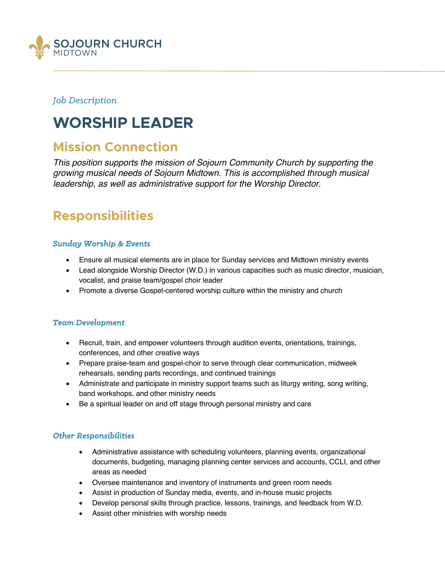

#### *Job Description*

# **WORSHIP LEADER**

## **Mission Connection**

*This position supports the mission of Sojourn Community Church by supporting the growing musical needs of Sojourn Midtown. This is accomplished through musical leadership, as well as administrative support for the Worship Director.* 

## **Responsibilities**

#### *Sunday Worship & Events*

- Ensure all musical elements are in place for Sunday services and Midtown ministry events
- Lead alongside Worship Director (W.D.) in various capacities such as music director, musician, vocalist, and praise team/gospel choir leader
- Promote a diverse Gospel-centered worship culture within the ministry and church

#### *Team Development*

- Recruit, train, and empower volunteers through audition events, orientations, trainings, conferences, and other creative ways
- Prepare praise-team and gospel-choir to serve through clear communication, midweek rehearsals, sending parts recordings, and continued trainings
- Administrate and participate in ministry support teams such as liturgy writing, song writing, band workshops, and other ministry needs
- Be a spiritual leader on and off stage through personal ministry and care

#### *Other Responsibilities*

- Administrative assistance with scheduling volunteers, planning events, organizational documents, budgeting, managing planning center services and accounts, CCLI, and other areas as needed
- Oversee maintenance and inventory of instruments and green room needs
- Assist in production of Sunday media, events, and in-house music projects
- Develop personal skills through practice, lessons, trainings, and feedback from W.D.
- Assist other ministries with worship needs